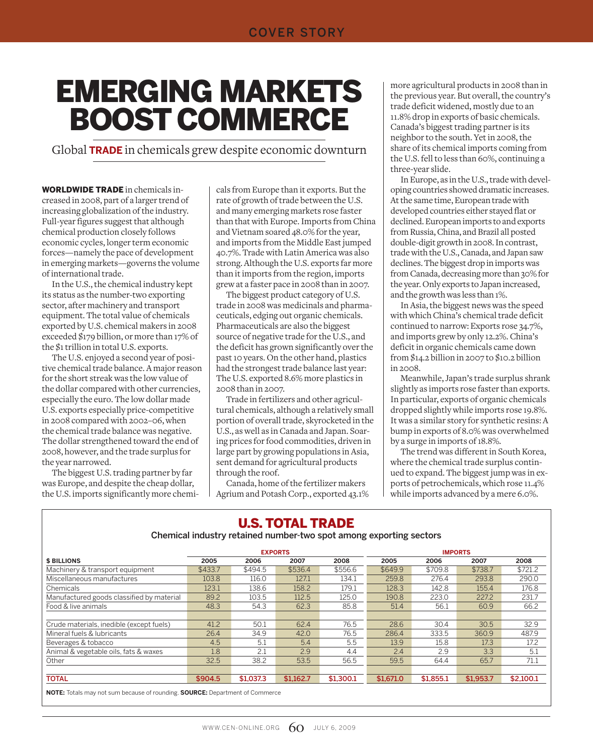# Emerging Markets Boost Commerce

Global **trade** in chemicals grew despite economic downturn

WORLDWIDE TRADE in chemicals increased in 2008, part of a larger trend of increasing globalization of the industry. Full-year figures suggest that although chemical production closely follows economic cycles, longer term economic forces—namely the pace of development in emerging markets—governs the volume of international trade.

In the U.S., the chemical industry kept its status as the number-two exporting sector, after machinery and transport equipment. The total value of chemicals exported by U.S. chemical makers in 2008 exceeded \$179 billion, or more than 17% of the \$1 trillion in total U.S. exports.

The U.S. enjoyed a second year of positive chemical trade balance. A major reason for the short streak was the low value of the dollar compared with other currencies, especially the euro. The low dollar made U.S. exports especially price-competitive in 2008 compared with 2002–06, when the chemical trade balance was negative. The dollar strengthened toward the end of 2008, however, and the trade surplus for the year narrowed.

The biggest U.S. trading partner by far was Europe, and despite the cheap dollar, the U.S. imports significantly more chemicals from Europe than it exports. But the rate of growth of trade between the U.S. and many emerging markets rose faster than that with Europe. Imports from China and Vietnam soared 48.0% for the year, and imports from the Middle East jumped 40.7%. Trade with Latin America was also strong. Although the U.S. exports far more than it imports from the region, imports grew at a faster pace in 2008 than in 2007.

The biggest product category of U.S. trade in 2008 was medicinals and pharmaceuticals, edging out organic chemicals. Pharmaceuticals are also the biggest source of negative trade for the U.S., and the deficit has grown significantly over the past 10 years. On the other hand, plastics had the strongest trade balance last year: The U.S. exported 8.6% more plastics in 2008 than in 2007.

Trade in fertilizers and other agricultural chemicals, although a relatively small portion of overall trade, skyrocketed in the U.S., as well as in Canada and Japan. Soaring prices for food commodities, driven in large part by growing populations in Asia, sent demand for agricultural products through the roof.

Canada, home of the fertilizer makers Agrium and Potash Corp., exported 43.1% more agricultural products in 2008 than in the previous year. But overall, the country's trade deficit widened, mostly due to an 11.8% drop in exports of basic chemicals. Canada's biggest trading partner is its neighbor to the south. Yet in 2008, the share of its chemical imports coming from the U.S. fell to less than 60%, continuing a three-year slide.

In Europe, as in the U.S., trade with developing countries showed dramatic increases. At the same time, European trade with developed countries either stayed flat or declined. European imports to and exports from Russia, China, and Brazil all posted double-digit growth in 2008. In contrast, trade with the U.S., Canada, and Japan saw declines. The biggest drop in imports was from Canada, decreasing more than 30% for the year. Only exports to Japan increased, and the growth was less than 1%.

In Asia, the biggest news was the speed with which China's chemical trade deficit continued to narrow: Exports rose 34.7%, and imports grew by only 12.2%. China's deficit in organic chemicals came down from \$14.2 billion in 2007 to \$10.2 billion in 2008.

Meanwhile, Japan's trade surplus shrank slightly as imports rose faster than exports. In particular, exports of organic chemicals dropped slightly while imports rose 19.8%. It was a similar story for synthetic resins: A bump in exports of 8.0% was overwhelmed by a surge in imports of 18.8%.

The trend was different in South Korea, where the chemical trade surplus continued to expand. The biggest jump was in exports of petrochemicals, which rose 11.4% while imports advanced by a mere 6.0%.

| <b>U.S. TOTAL TRADE</b><br>Chemical industry retained number-two spot among exporting sectors |           |                                                                                            |           |           |           |           |           |  |  |  |  |  |  |
|-----------------------------------------------------------------------------------------------|-----------|--------------------------------------------------------------------------------------------|-----------|-----------|-----------|-----------|-----------|--|--|--|--|--|--|
| <b>EXPORTS</b><br><b>IMPORTS</b>                                                              |           |                                                                                            |           |           |           |           |           |  |  |  |  |  |  |
| 2005                                                                                          | 2006      | 2007                                                                                       | 2008      | 2005      | 2006      | 2007      | 2008      |  |  |  |  |  |  |
| \$433.7                                                                                       | \$494.5   | \$536.4                                                                                    | \$556.6   | \$649.9   | \$709.8   | \$738.7   | \$721.2   |  |  |  |  |  |  |
| 103.8                                                                                         | 116.0     | 127.1                                                                                      | 134.1     | 259.8     | 276.4     | 293.8     | 290.0     |  |  |  |  |  |  |
| 123.1                                                                                         | 138.6     | 158.2                                                                                      | 179.1     | 128.3     | 142.8     | 155.4     | 176.8     |  |  |  |  |  |  |
| 89.2                                                                                          | 103.5     | 112.5                                                                                      | 125.0     | 190.8     | 223.0     | 227.2     | 231.7     |  |  |  |  |  |  |
| 48.3                                                                                          | 54.3      | 62.3                                                                                       | 85.8      | 51.4      | 56.1      | 60.9      | 66.2      |  |  |  |  |  |  |
|                                                                                               |           |                                                                                            |           |           |           |           |           |  |  |  |  |  |  |
| 41.2                                                                                          | 50.1      | 62.4                                                                                       | 76.5      | 28.6      | 30.4      | 30.5      | 32.9      |  |  |  |  |  |  |
| 26.4                                                                                          | 34.9      | 42.0                                                                                       | 76.5      | 286.4     | 333.5     | 360.9     | 487.9     |  |  |  |  |  |  |
| 4.5                                                                                           | 5.1       | 5.4                                                                                        | 5.5       | 13.9      | 15.8      | 17.3      | 17.2      |  |  |  |  |  |  |
| 1.8                                                                                           | 2.1       | 2.9                                                                                        | 4.4       | 2.4       | 2.9       | 3.3       | 5.1       |  |  |  |  |  |  |
| 32.5                                                                                          | 38.2      | 53.5                                                                                       | 56.5      | 59.5      | 64.4      | 65.7      | 71.1      |  |  |  |  |  |  |
|                                                                                               |           |                                                                                            |           |           |           |           |           |  |  |  |  |  |  |
| \$904.5                                                                                       | \$1,037.3 | \$1.162.7                                                                                  | \$1,300.1 | \$1,671.0 | \$1,855.1 | \$1,953.7 | \$2,100.1 |  |  |  |  |  |  |
|                                                                                               |           | <b>NOTE:</b> Totals may not sum because of rounding. <b>SOURCE:</b> Department of Commerce |           |           |           |           |           |  |  |  |  |  |  |

#### WWW.CEN-ONLINE.ORG  $60$  JULY 6, 2009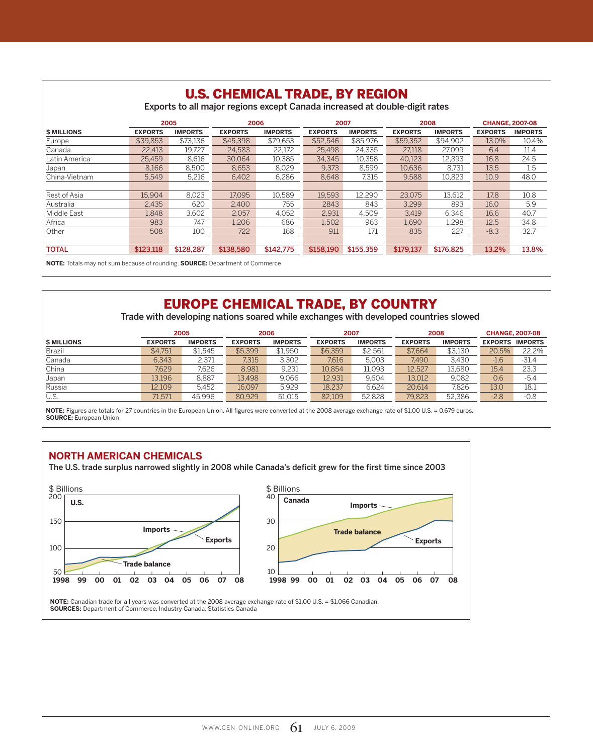|                    |                |                | <b>U.S. CHEMICAL TRADE, BY REGION</b><br>Exports to all major regions except Canada increased at double-digit rates |                |                |                |                |                |                |                        |
|--------------------|----------------|----------------|---------------------------------------------------------------------------------------------------------------------|----------------|----------------|----------------|----------------|----------------|----------------|------------------------|
|                    |                | 2005           |                                                                                                                     | 2006           |                | 2007           |                | 2008           |                | <b>CHANGE, 2007-08</b> |
| <b>\$ MILLIONS</b> | <b>EXPORTS</b> | <b>IMPORTS</b> | <b>EXPORTS</b>                                                                                                      | <b>IMPORTS</b> | <b>EXPORTS</b> | <b>IMPORTS</b> | <b>EXPORTS</b> | <b>IMPORTS</b> | <b>EXPORTS</b> | <b>IMPORTS</b>         |
| Europe             | \$39,853       | \$73,136       | \$45,398                                                                                                            | \$79.653       | \$52,546       | \$85,976       | \$59,352       | \$94.902       | 13.0%          | 10.4%                  |
| Canada             | 22.413         | 19.727         | 24.583                                                                                                              | 22,172         | 25.498         | 24,335         | 27.118         | 27.099         | 6.4            | 11.4                   |
| Latin America      | 25,459         | 8.616          | 30.064                                                                                                              | 10.385         | 34.345         | 10.358         | 40.123         | 12.893         | 16.8           | 24.5                   |
| Japan              | 8,166          | 8,500          | 8,653                                                                                                               | 8,029          | 9.373          | 8,599          | 10,636         | 8.731          | 13.5           | 1.5                    |
| China-Vietnam      | 5,549          | 5,216          | 6,402                                                                                                               | 6,286          | 8,648          | 7,315          | 9,588          | 10,823         | 10.9           | 48.0                   |
|                    |                |                |                                                                                                                     |                |                |                |                |                |                |                        |
| Rest of Asia       | 15.904         | 8.023          | 17.095                                                                                                              | 10.589         | 19.593         | 12.290         | 23.075         | 13.612         | 17.8           | 10.8                   |
| Australia          | 2.435          | 620            | 2.400                                                                                                               | 755            | 2843           | 843            | 3.299          | 893            | 16.0           | 5.9                    |
| Middle East        | 1.848          | 3,602          | 2,057                                                                                                               | 4.052          | 2.931          | 4.509          | 3.419          | 6.346          | 16.6           | 40.7                   |
| Africa             | 983            | 747            | 1,206                                                                                                               | 686            | 1,502          | 963            | 1,690          | 1.298          | 12.5           | 34.8                   |
| Other              | 508            | 100            | 722                                                                                                                 | 168            | 911            | 171            | 835            | 227            | $-8.3$         | 32.7                   |
|                    |                |                |                                                                                                                     |                |                |                |                |                |                |                        |
| <b>TOTAL</b>       | \$123,118      | \$128,287      | \$138,580                                                                                                           | \$142,775      | \$158,190      | \$155,359      | \$179,137      | \$176,825      | 13.2%          | 13.8%                  |

**NOTE:** Totals may not sum because of rounding. **SOURCE:** Department of Commerce

#### EUROPE CHEMICAL TRADE, BY COUNTRY

Trade with developing nations soared while exchanges with developed countries slowed

|                    |                | 2005           | 2006           |                |                | 2007           |                | 2008           | <b>CHANGE, 2007-08</b> |         |  |
|--------------------|----------------|----------------|----------------|----------------|----------------|----------------|----------------|----------------|------------------------|---------|--|
| <b>\$ MILLIONS</b> | <b>EXPORTS</b> | <b>IMPORTS</b> | <b>EXPORTS</b> | <b>IMPORTS</b> | <b>EXPORTS</b> | <b>IMPORTS</b> | <b>EXPORTS</b> | <b>IMPORTS</b> | <b>EXPORTS IMPORTS</b> |         |  |
| <b>Brazil</b>      | \$4.751        | \$1.545        | \$5,399        | \$1,950        | \$6,359        | \$2.561        | \$7.664        | \$3,130        | 20.5%                  | 22.2%   |  |
| Canada             | 6,343          | 2.371          | 7.315          | 3.302          | 7.616          | 5.003          | 7.490          | 3.430          | $-1.6$                 | $-31.4$ |  |
| China              | 7.629          | 7.626          | 8.981          | 9,231          | 10.854         | 11.093         | 12,527         | 13.680         | 15.4                   | 23.3    |  |
| Japan              | 13.196         | 8.887          | 13.498         | 9.066          | 12.931         | 9.604          | 13.012         | 9.082          | 0.6                    | $-5.4$  |  |
| Russia             | 12.109         | 5.452          | 16.097         | 5.929          | 18.237         | 6.624          | 20.614         | 7.826          | 13.0                   | 18.1    |  |
| U.S.               | 71,571         | 45,996         | 80,929         | 51,015         | 82,109         | 52,828         | 79.823         | 52,386         | $-2.8$                 | $-0.8$  |  |

**NOTE:** Figures are totals for 27 countries in the European Union. All figures were converted at the 2008 average exchange rate of \$1.00 U.S. = 0.679 euros. **SOURCE:** European Union

#### **North American Chemicals**

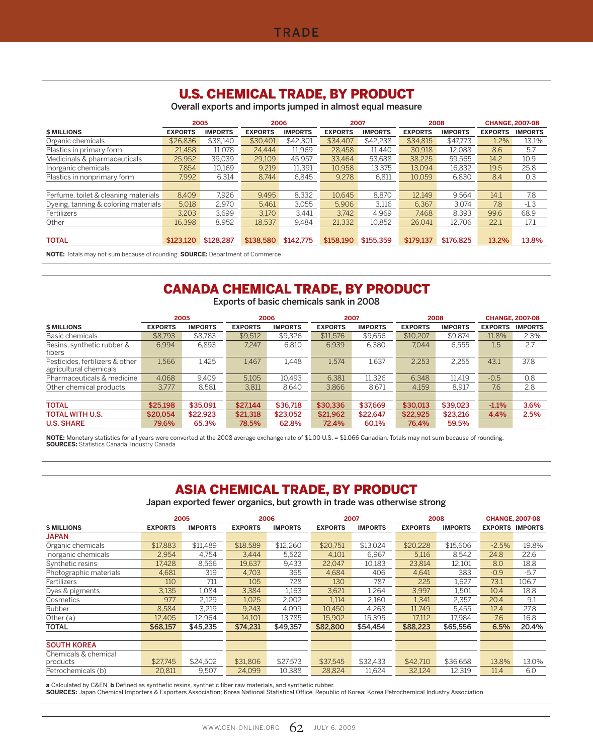#### U.S. CHEMICAL TRADE, BY PRODUCT

Overall exports and imports jumped in almost equal measure

|                                      |                | 2005           | 2006           |                |                | 2007           |                | 2008           |                | <b>CHANGE, 2007-08</b> |
|--------------------------------------|----------------|----------------|----------------|----------------|----------------|----------------|----------------|----------------|----------------|------------------------|
| <b>\$ MILLIONS</b>                   | <b>EXPORTS</b> | <b>IMPORTS</b> | <b>EXPORTS</b> | <b>IMPORTS</b> | <b>EXPORTS</b> | <b>IMPORTS</b> | <b>EXPORTS</b> | <b>IMPORTS</b> | <b>EXPORTS</b> | <b>IMPORTS</b>         |
| Organic chemicals                    | \$26,836       | \$38.140       | \$30,401       | \$42,301       | \$34,407       | \$42.238       | \$34,815       | \$47.773       | 1.2%           | 13.1%                  |
| Plastics in primary form             | 21.458         | 11.078         | 24.444         | 11.969         | 28.458         | 11.440         | 30.918         | 12.088         | 8.6            | 5.7                    |
| Medicinals & pharmaceuticals         | 25.952         | 39.039         | 29.109         | 45.957         | 33.464         | 53.688         | 38.225         | 59.565         | 14.2           | 10.9                   |
| Inorganic chemicals                  | 7.854          | 10,169         | 9.219          | 11.391         | 10.958         | 13.375         | 13.094         | 16,832         | 19.5           | 25.8                   |
| Plastics in nonprimary form          | 7.992          | 6.314          | 8.744          | 6.845          | 9.278          | 6.811          | 10.059         | 6.830          | 8.4            | 0.3                    |
|                                      |                |                |                |                |                |                |                |                |                |                        |
| Perfume, toilet & cleaning materials | 8,409          | 7.926          | 9.495          | 8.332          | 10.645         | 8.870          | 12.149         | 9.564          | 14.1           | 7.8                    |
| Dyeing, tanning & coloring materials | 5.018          | 2.970          | 5.461          | 3.055          | 5.906          | 3.116          | 6.367          | 3.074          | 7.8            | $-1.3$                 |
| Fertilizers                          | 3.203          | 3,699          | 3.170          | 3.441          | 3.742          | 4.969          | 7.468          | 8.393          | 99.6           | 68.9                   |
| Other                                | 16.398         | 8.952          | 18.537         | 9.484          | 21.332         | 10.852         | 26.041         | 12.706         | 22.1           | 17.1                   |
|                                      |                |                |                |                |                |                |                |                |                |                        |
| <b>TOTAL</b>                         | \$123,120      | \$128,287      | \$138,580      | \$142.775      | \$158.190      | \$155,359      | \$179.137      | \$176.825      | 13.2%          | 13.8%                  |
|                                      |                |                |                |                |                |                |                |                |                |                        |

**NOTE:** Totals may not sum because of rounding. **SOURCE:** Department of Commerce

### CANADA CHEMICAL TRADE, BY PRODUCT

Exports of basic chemicals sank in 2008

|                                                           |                | 2005           | 2006           |                | 2007           |                |                | 2008           | <b>CHANGE, 2007-08</b> |                |
|-----------------------------------------------------------|----------------|----------------|----------------|----------------|----------------|----------------|----------------|----------------|------------------------|----------------|
| <b>\$ MILLIONS</b>                                        | <b>EXPORTS</b> | <b>IMPORTS</b> | <b>EXPORTS</b> | <b>IMPORTS</b> | <b>EXPORTS</b> | <b>IMPORTS</b> | <b>EXPORTS</b> | <b>IMPORTS</b> | <b>EXPORTS</b>         | <b>IMPORTS</b> |
| Basic chemicals                                           | \$8.793        | \$8.783        | \$9,512        | \$9.326        | \$11,576       | \$9.656        | \$10,207       | \$9,874        | $-11.8%$               | 2.3%           |
| Resins, synthetic rubber &<br>fibers                      | 6.994          | 6.893          | 7.247          | 6.810          | 6.939          | 6.380          | 7.044          | 6.555          | 1.5                    | 2.7            |
| Pesticides, fertilizers & other<br>agricultural chemicals | 1.566          | 1.425          | 1.467          | 1.448          | 1,574          | 1.637          | 2.253          | 2.255          | 43.1                   | 37.8           |
| Pharmaceuticals & medicine                                | 4.068          | 9.409          | 5.105          | 10.493         | 6.381          | 11.326         | 6.348          | 11.419         | $-0.5$                 | 0.8            |
| Other chemical products                                   | 3.777          | 8.581          | 3,811          | 8.640          | 3.866          | 8,671          | 4.159          | 8.917          | 7.6                    | 2.8            |
|                                                           |                |                |                |                |                |                |                |                |                        |                |
| <b>TOTAL</b>                                              | \$25,198       | \$35,091       | \$27,144       | \$36,718       | \$30,336       | \$37,669       | \$30,013       | \$39,023       | $-1.1%$                | 3.6%           |
| <b>TOTAL WITH U.S.</b>                                    | \$20,054       | \$22,923       | \$21,318       | \$23,052       | \$21.962       | \$22.647       | \$22,925       | \$23,216       | 4.4%                   | 2.5%           |
| <b>U.S. SHARE</b>                                         | 79.6%          | 65.3%          | 78.5%          | 62.8%          | 72.4%          | 60.1%          | 76.4%          | 59.5%          |                        |                |

**NOTE:** Monetary statistics for all years were converted at the 2008 average exchange rate of \$1.00 U.S. = \$1.066 Canadian. Totals may not sum because of rounding. **SOURCES:** Statistics Canada, Industry Canada

#### ASIA CHEMICAL TRADE, BY PRODUCT

Japan exported fewer organics, but growth in trade was otherwise strong

|                        |                | 2005           | 2006<br>2007   |                |                | 2008           |                | <b>CHANGE, 2007-08</b> |                        |        |
|------------------------|----------------|----------------|----------------|----------------|----------------|----------------|----------------|------------------------|------------------------|--------|
| <b>\$ MILLIONS</b>     | <b>EXPORTS</b> | <b>IMPORTS</b> | <b>EXPORTS</b> | <b>IMPORTS</b> | <b>EXPORTS</b> | <b>IMPORTS</b> | <b>EXPORTS</b> | <b>IMPORTS</b>         | <b>EXPORTS IMPORTS</b> |        |
| <b>JAPAN</b>           |                |                |                |                |                |                |                |                        |                        |        |
| Organic chemicals      | \$17,883       | \$11,489       | \$18,589       | \$12,260       | \$20,751       | \$13,024       | \$20,228       | \$15,606               | $-2.5%$                | 19.8%  |
| Inorganic chemicals    | 2,954          | 4.754          | 3,444          | 5,522          | 4,101          | 6,967          | 5,116          | 8,542                  | 24.8                   | 22.6   |
| Synthetic resins       | 17.428         | 8.566          | 19,637         | 9,433          | 22.047         | 10,183         | 23.814         | 12,101                 | 8.0                    | 18.8   |
| Photographic materials | 4,681          | 319            | 4,703          | 365            | 4,684          | 406            | 4,641          | 383                    | $-0.9$                 | $-5.7$ |
| Fertilizers            | 110            | 711            | 105            | 728            | 130            | 787            | 225            | 1.627                  | 73.1                   | 106.7  |
| Dyes & pigments        | 3,135          | 1.084          | 3,384          | 1,163          | 3,621          | 1,264          | 3.997          | 1.501                  | 10.4                   | 18.8   |
| Cosmetics              | 977            | 2.129          | 1.025          | 2,002          | 1.114          | 2,160          | 1.341          | 2.357                  | 20.4                   | 9.1    |
| Rubber                 | 8,584          | 3,219          | 9,243          | 4,099          | 10,450         | 4,268          | 11,749         | 5,455                  | 12.4                   | 27.8   |
| Other (a)              | 12.405         | 12,964         | 14,101         | 13.785         | 15,902         | 15,395         | 17,112         | 17.984                 | 7.6                    | 16.8   |
| <b>TOTAL</b>           | \$68,157       | \$45,235       | \$74,231       | \$49,357       | \$82,800       | \$54.454       | \$88,223       | \$65,556               | 6.5%                   | 20.4%  |
|                        |                |                |                |                |                |                |                |                        |                        |        |
| <b>SOUTH KOREA</b>     |                |                |                |                |                |                |                |                        |                        |        |
| Chemicals & chemical   |                |                |                |                |                |                |                |                        |                        |        |
| products               | \$27.745       | \$24,502       | \$31,806       | \$27,573       | \$37.545       | \$32,433       | \$42,710       | \$36,658               | 13.8%                  | 13.0%  |
| Petrochemicals (b)     | 20.811         | 9,507          | 24.099         | 10.388         | 28,824         | 11,624         | 32,124         | 12.319                 | 11.4                   | 6.0    |

**a** Calculated by C&EN. **b** Defined as synthetic resins, synthetic fiber raw materials, and synthetic rubber.<br>**SOURCES:** Japan Chemical Importers & Exporters Association; Korea National Statistical Office, Republic of Kore